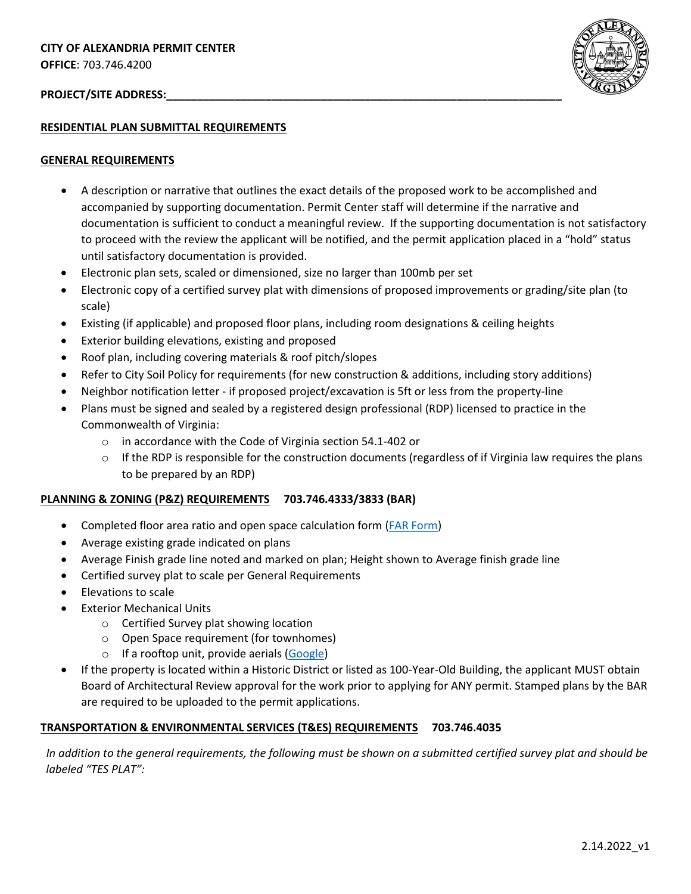# PROJECT/SITE ADDRESS:



### **RESIDENTIAL PLAN SUBMITTAL REQUIREMENTS**

#### **GENERAL REQUIREMENTS**

- A description or narrative that outlines the exact details of the proposed work to be accomplished and accompanied by supporting documentation. Permit Center staff will determine if the narrative and documentation is sufficient to conduct a meaningful review. If the supporting documentation is not satisfactory to proceed with the review the applicant will be notified, and the permit application placed in a "hold" status until satisfactory documentation is provided.
- Electronic plan sets, scaled or dimensioned, size no larger than 100mb per set
- Electronic copy of a certified survey plat with dimensions of proposed improvements or grading/site plan (to scale)
- Existing (if applicable) and proposed floor plans, including room designations & ceiling heights
- Exterior building elevations, existing and proposed
- Roof plan, including covering materials & roof pitch/slopes
- Refer to City Soil Policy for requirements (for new construction & additions, including story additions)
- Neighbor notification letter if proposed project/excavation is 5ft or less from the property-line
- Plans must be signed and sealed by a registered design professional (RDP) licensed to practice in the Commonwealth of Virginia:
	- o in accordance with the Code of Virginia section 54.1-402 or
	- $\circ$  If the RDP is responsible for the construction documents (regardless of if Virginia law requires the plans to be prepared by an RDP)

# **PLANNING & ZONING (P&Z) REQUIREMENTS 703.746.4333/3833 (BAR)**

- Completed floor area ratio and open space calculation form [\(FAR Form\)](https://www.alexandriava.gov/uploadedFiles/planning/info/forms/FAR%20A.pdf)
- Average existing grade indicated on plans
- Average Finish grade line noted and marked on plan; Height shown to Average finish grade line
- Certified survey plat to scale per General Requirements
- Elevations to scale
- **Exterior Mechanical Units** 
	- o Certified Survey plat showing location
	- o Open Space requirement (for townhomes)
	- o If a rooftop unit, provide aerials [\(Google\)](https://www.google.com/)
- If the property is located within a Historic District or listed as 100-Year-Old Building, the applicant MUST obtain Board of Architectural Review approval for the work prior to applying for ANY permit. Stamped plans by the BAR are required to be uploaded to the permit applications.

# **TRANSPORTATION & ENVIRONMENTAL SERVICES (T&ES) REQUIREMENTS 703.746.4035**

*In addition to the general requirements, the following must be shown on a submitted certified survey plat and should be labeled "TES PLAT":*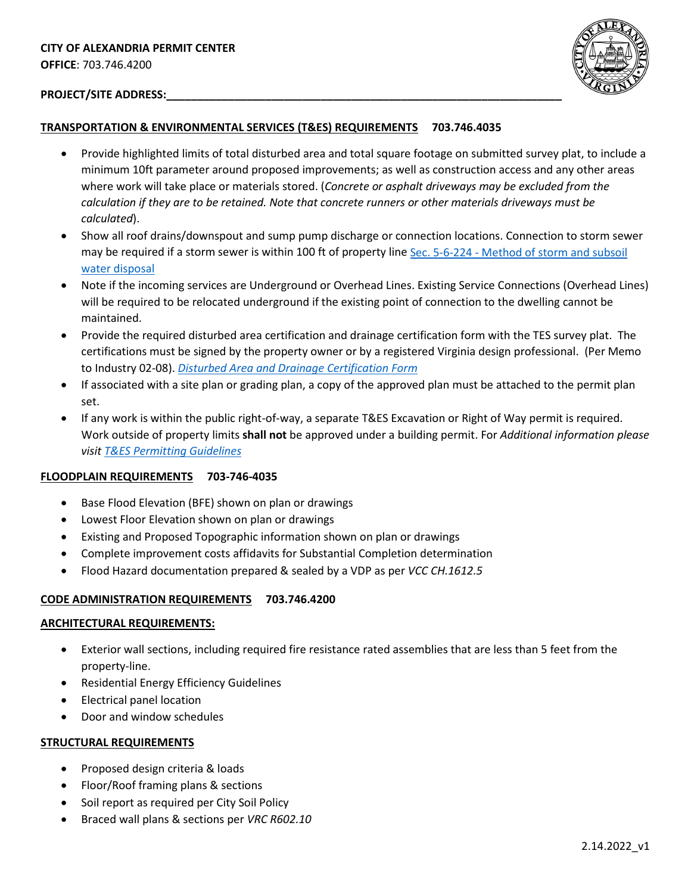

# PROJECT/SITE ADDRESS:

# **TRANSPORTATION & ENVIRONMENTAL SERVICES (T&ES) REQUIREMENTS 703.746.4035**

- Provide highlighted limits of total disturbed area and total square footage on submitted survey plat, to include a minimum 10ft parameter around proposed improvements; as well as construction access and any other areas where work will take place or materials stored. (*Concrete or asphalt driveways may be excluded from the calculation if they are to be retained. Note that concrete runners or other materials driveways must be calculated*).
- Show all roof drains/downspout and sump pump discharge or connection locations. Connection to storm sewer may be required if a storm sewer is within 100 ft of property line Sec. 5-6-224 - [Method of storm and subsoil](https://library.municode.com/va/alexandria/codes/code_of_ordinances?nodeId=PTIITHCOGEOR_TIT5TRENSE_CH6WASE_ARTBSEDIDR_SDJMIPR_S5-6-224MESTSUWADI)  [water disposal](https://library.municode.com/va/alexandria/codes/code_of_ordinances?nodeId=PTIITHCOGEOR_TIT5TRENSE_CH6WASE_ARTBSEDIDR_SDJMIPR_S5-6-224MESTSUWADI)
- Note if the incoming services are Underground or Overhead Lines. Existing Service Connections (Overhead Lines) will be required to be relocated underground if the existing point of connection to the dwelling cannot be maintained.
- Provide the required disturbed area certification and drainage certification form with the TES survey plat. The certifications must be signed by the property owner or by a registered Virginia design professional. (Per Memo to Industry 02-08). *[Disturbed Area and Drainage Certification Form](https://www.alexandriava.gov/uploadedFiles/tes/info/02-08%20-%20Grading%20Plan%20Requirements%20and%20Waiver%20Provisions.pdf)*
- If associated with a site plan or grading plan, a copy of the approved plan must be attached to the permit plan set.
- If any work is within the public right-of-way, a separate T&ES Excavation or Right of Way permit is required. Work outside of property limits **shall not** be approved under a building permit. For *Additional information please visit [T&ES Permitting Guidelines](https://www.alexandriava.gov/tes/info/default.aspx?id=3456)*

# **FLOODPLAIN REQUIREMENTS 703-746-4035**

- Base Flood Elevation (BFE) shown on plan or drawings
- Lowest Floor Elevation shown on plan or drawings
- Existing and Proposed Topographic information shown on plan or drawings
- Complete improvement costs affidavits for Substantial Completion determination
- Flood Hazard documentation prepared & sealed by a VDP as per *VCC CH.1612.5*

# **CODE ADMINISTRATION REQUIREMENTS 703.746.4200**

#### **ARCHITECTURAL REQUIREMENTS:**

- Exterior wall sections, including required fire resistance rated assemblies that are less than 5 feet from the property-line.
- Residential Energy Efficiency Guidelines
- Electrical panel location
- Door and window schedules

#### **STRUCTURAL REQUIREMENTS**

- Proposed design criteria & loads
- Floor/Roof framing plans & sections
- Soil report as required per City Soil Policy
- Braced wall plans & sections per *VRC R602.10*